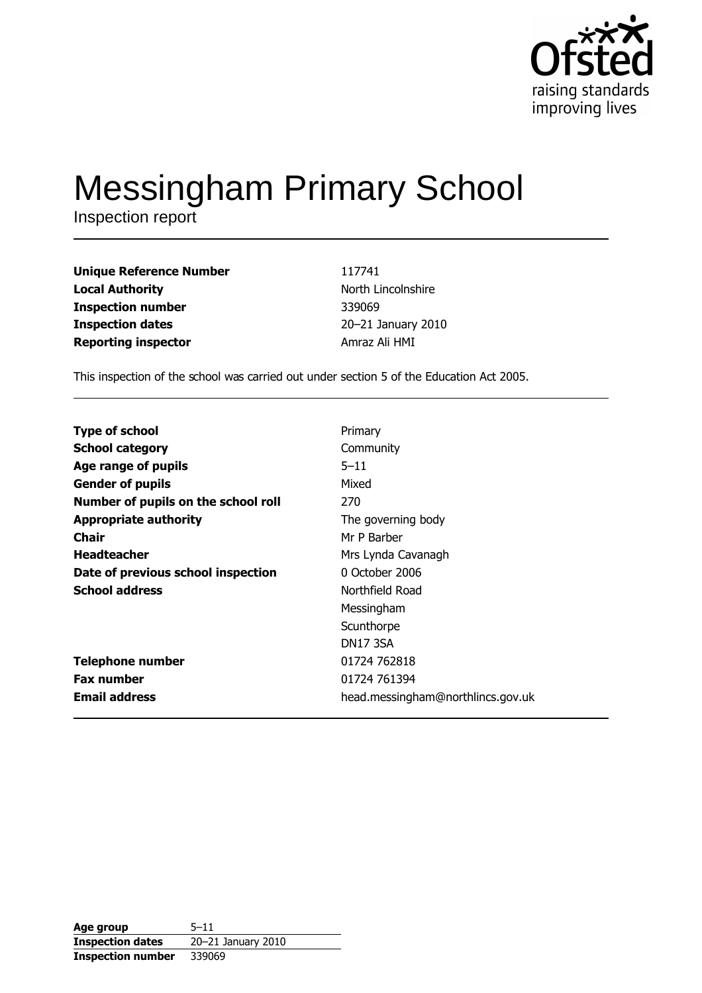

# **Messingham Primary School**

Inspection report

**Unique Reference Number Local Authority Inspection number Inspection dates Reporting inspector** 

117741 North Lincolnshire 339069 20-21 January 2010 Amraz Ali HMI

This inspection of the school was carried out under section 5 of the Education Act 2005.

| <b>Type of school</b>               | Primary                           |
|-------------------------------------|-----------------------------------|
| <b>School category</b>              | Community                         |
| Age range of pupils                 | $5 - 11$                          |
| <b>Gender of pupils</b>             | Mixed                             |
| Number of pupils on the school roll | 270                               |
| <b>Appropriate authority</b>        | The governing body                |
| Chair                               | Mr P Barber                       |
| <b>Headteacher</b>                  | Mrs Lynda Cavanagh                |
| Date of previous school inspection  | 0 October 2006                    |
| <b>School address</b>               | Northfield Road                   |
|                                     | Messingham                        |
|                                     | Scunthorpe                        |
|                                     | <b>DN17 3SA</b>                   |
| <b>Telephone number</b>             | 01724 762818                      |
| <b>Fax number</b>                   | 01724 761394                      |
| <b>Email address</b>                | head.messingham@northlincs.gov.uk |

Age group  $5 - 11$ **Inspection dates** 20-21 January 2010 **Inspection number** 339069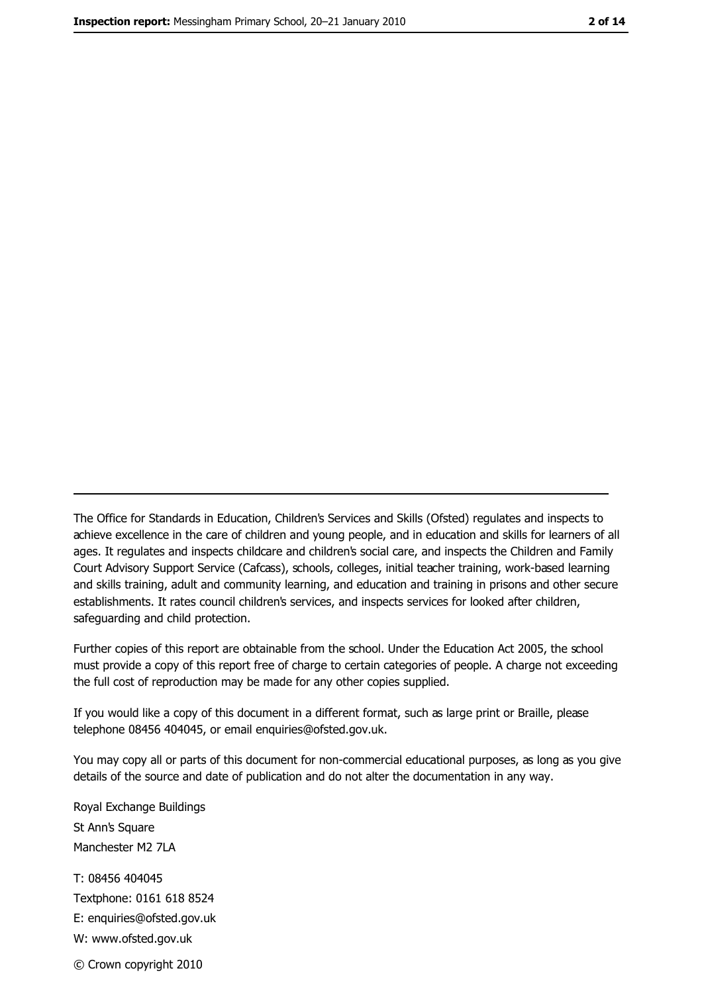The Office for Standards in Education, Children's Services and Skills (Ofsted) regulates and inspects to achieve excellence in the care of children and young people, and in education and skills for learners of all ages. It regulates and inspects childcare and children's social care, and inspects the Children and Family Court Advisory Support Service (Cafcass), schools, colleges, initial teacher training, work-based learning and skills training, adult and community learning, and education and training in prisons and other secure establishments. It rates council children's services, and inspects services for looked after children, safeguarding and child protection.

Further copies of this report are obtainable from the school. Under the Education Act 2005, the school must provide a copy of this report free of charge to certain categories of people. A charge not exceeding the full cost of reproduction may be made for any other copies supplied.

If you would like a copy of this document in a different format, such as large print or Braille, please telephone 08456 404045, or email enquiries@ofsted.gov.uk.

You may copy all or parts of this document for non-commercial educational purposes, as long as you give details of the source and date of publication and do not alter the documentation in any way.

Royal Exchange Buildings St Ann's Square Manchester M2 7LA T: 08456 404045 Textphone: 0161 618 8524 E: enquiries@ofsted.gov.uk W: www.ofsted.gov.uk

© Crown copyright 2010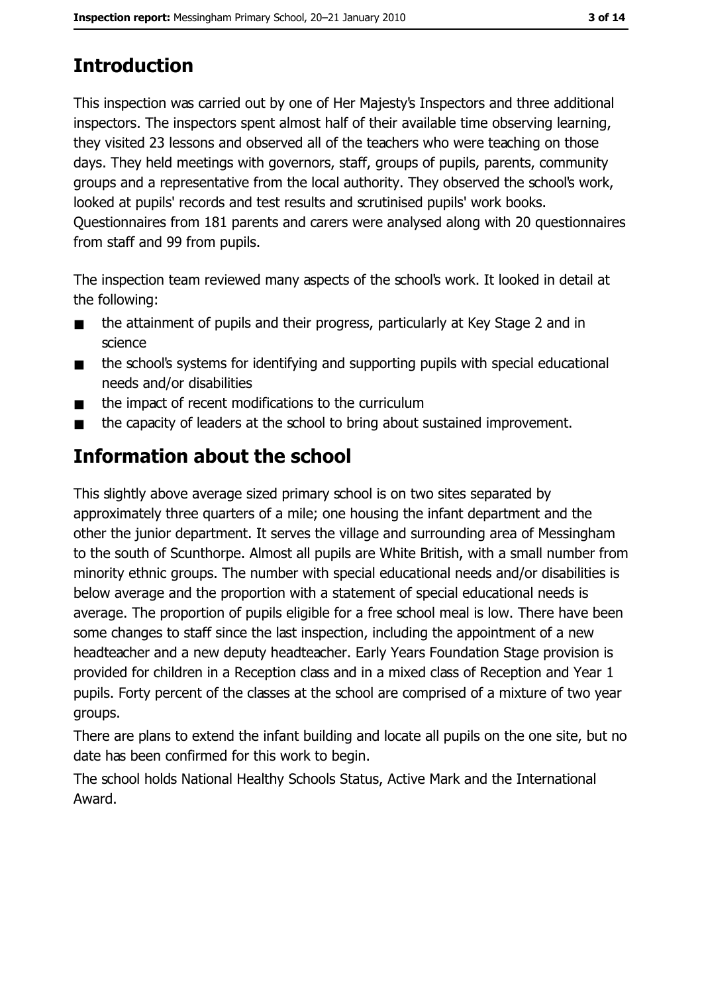# **Introduction**

This inspection was carried out by one of Her Majesty's Inspectors and three additional inspectors. The inspectors spent almost half of their available time observing learning, they visited 23 lessons and observed all of the teachers who were teaching on those days. They held meetings with governors, staff, groups of pupils, parents, community groups and a representative from the local authority. They observed the school's work, looked at pupils' records and test results and scrutinised pupils' work books. Questionnaires from 181 parents and carers were analysed along with 20 questionnaires from staff and 99 from pupils.

The inspection team reviewed many aspects of the school's work. It looked in detail at the following:

- the attainment of pupils and their progress, particularly at Key Stage 2 and in  $\blacksquare$ science
- the school's systems for identifying and supporting pupils with special educational  $\blacksquare$ needs and/or disabilities
- the impact of recent modifications to the curriculum  $\blacksquare$
- the capacity of leaders at the school to bring about sustained improvement.  $\blacksquare$

# **Information about the school**

This slightly above average sized primary school is on two sites separated by approximately three quarters of a mile; one housing the infant department and the other the junior department. It serves the village and surrounding area of Messingham to the south of Scunthorpe. Almost all pupils are White British, with a small number from minority ethnic groups. The number with special educational needs and/or disabilities is below average and the proportion with a statement of special educational needs is average. The proportion of pupils eligible for a free school meal is low. There have been some changes to staff since the last inspection, including the appointment of a new headteacher and a new deputy headteacher. Early Years Foundation Stage provision is provided for children in a Reception class and in a mixed class of Reception and Year 1 pupils. Forty percent of the classes at the school are comprised of a mixture of two year groups.

There are plans to extend the infant building and locate all pupils on the one site, but no date has been confirmed for this work to begin.

The school holds National Healthy Schools Status, Active Mark and the International Award.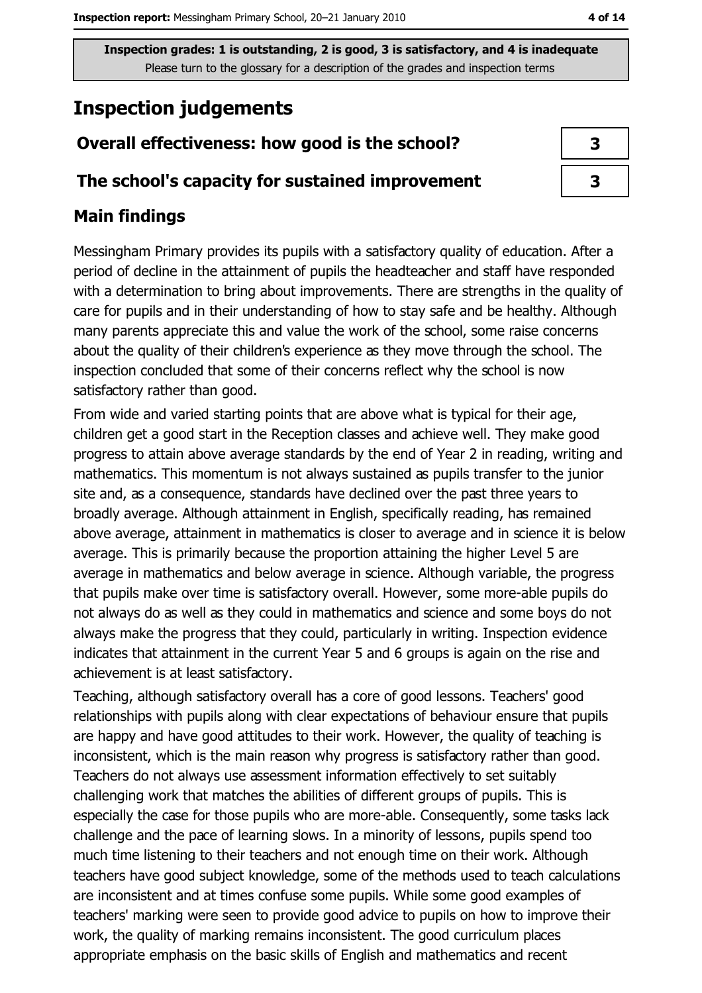# **Inspection judgements**

## Overall effectiveness: how good is the school?

#### The school's capacity for sustained improvement

### **Main findings**

Messingham Primary provides its pupils with a satisfactory quality of education. After a period of decline in the attainment of pupils the headteacher and staff have responded with a determination to bring about improvements. There are strengths in the quality of care for pupils and in their understanding of how to stay safe and be healthy. Although many parents appreciate this and value the work of the school, some raise concerns about the quality of their children's experience as they move through the school. The inspection concluded that some of their concerns reflect why the school is now satisfactory rather than good.

From wide and varied starting points that are above what is typical for their age, children get a good start in the Reception classes and achieve well. They make good progress to attain above average standards by the end of Year 2 in reading, writing and mathematics. This momentum is not always sustained as pupils transfer to the junior site and, as a consequence, standards have declined over the past three years to broadly average. Although attainment in English, specifically reading, has remained above average, attainment in mathematics is closer to average and in science it is below average. This is primarily because the proportion attaining the higher Level 5 are average in mathematics and below average in science. Although variable, the progress that pupils make over time is satisfactory overall. However, some more-able pupils do not always do as well as they could in mathematics and science and some boys do not always make the progress that they could, particularly in writing. Inspection evidence indicates that attainment in the current Year 5 and 6 groups is again on the rise and achievement is at least satisfactory.

Teaching, although satisfactory overall has a core of good lessons. Teachers' good relationships with pupils along with clear expectations of behaviour ensure that pupils are happy and have good attitudes to their work. However, the quality of teaching is inconsistent, which is the main reason why progress is satisfactory rather than good. Teachers do not always use assessment information effectively to set suitably challenging work that matches the abilities of different groups of pupils. This is especially the case for those pupils who are more-able. Consequently, some tasks lack challenge and the pace of learning slows. In a minority of lessons, pupils spend too much time listening to their teachers and not enough time on their work. Although teachers have good subject knowledge, some of the methods used to teach calculations are inconsistent and at times confuse some pupils. While some good examples of teachers' marking were seen to provide good advice to pupils on how to improve their work, the quality of marking remains inconsistent. The good curriculum places appropriate emphasis on the basic skills of English and mathematics and recent

| 3 |  |
|---|--|
| 3 |  |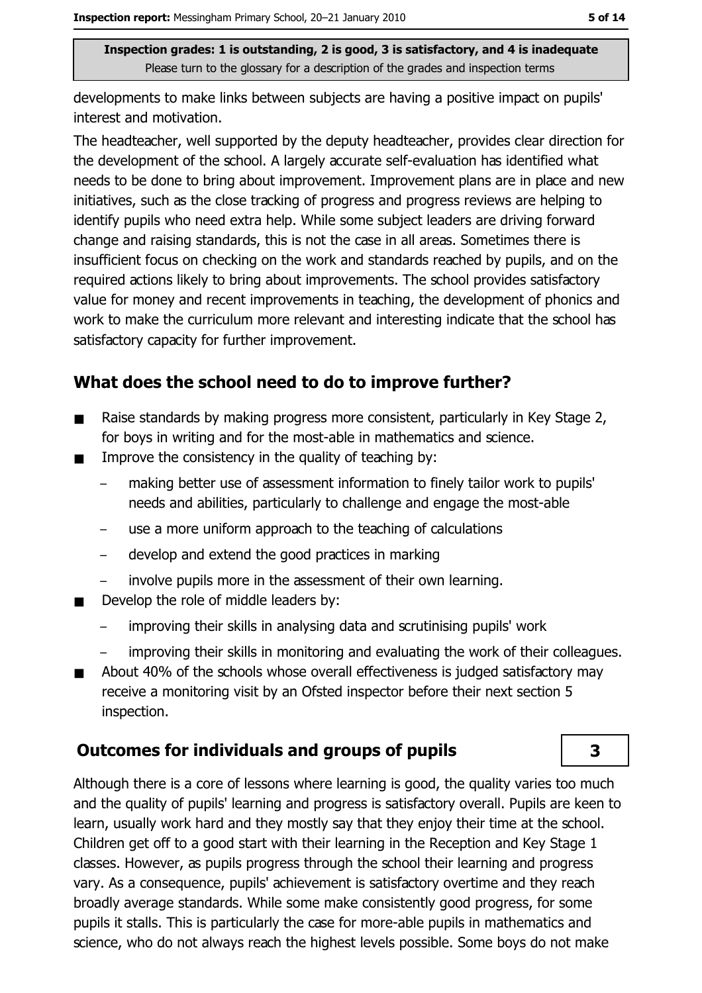developments to make links between subjects are having a positive impact on pupils' interest and motivation.

The headteacher, well supported by the deputy headteacher, provides clear direction for the development of the school. A largely accurate self-evaluation has identified what needs to be done to bring about improvement. Improvement plans are in place and new initiatives, such as the close tracking of progress and progress reviews are helping to identify pupils who need extra help. While some subject leaders are driving forward change and raising standards, this is not the case in all areas. Sometimes there is insufficient focus on checking on the work and standards reached by pupils, and on the required actions likely to bring about improvements. The school provides satisfactory value for money and recent improvements in teaching, the development of phonics and work to make the curriculum more relevant and interesting indicate that the school has satisfactory capacity for further improvement.

## What does the school need to do to improve further?

- Raise standards by making progress more consistent, particularly in Key Stage 2,  $\blacksquare$ for boys in writing and for the most-able in mathematics and science.
- Improve the consistency in the quality of teaching by:  $\blacksquare$ 
	- making better use of assessment information to finely tailor work to pupils' needs and abilities, particularly to challenge and engage the most-able
	- use a more uniform approach to the teaching of calculations
	- develop and extend the good practices in marking
	- involve pupils more in the assessment of their own learning.
- Develop the role of middle leaders by:  $\blacksquare$ 
	- improving their skills in analysing data and scrutinising pupils' work
	- improving their skills in monitoring and evaluating the work of their colleagues.
- About 40% of the schools whose overall effectiveness is judged satisfactory may  $\blacksquare$ receive a monitoring visit by an Ofsted inspector before their next section 5 inspection.

#### **Outcomes for individuals and groups of pupils**

Although there is a core of lessons where learning is good, the quality varies too much and the quality of pupils' learning and progress is satisfactory overall. Pupils are keen to learn, usually work hard and they mostly say that they enjoy their time at the school. Children get off to a good start with their learning in the Reception and Key Stage 1 classes. However, as pupils progress through the school their learning and progress vary. As a consequence, pupils' achievement is satisfactory overtime and they reach broadly average standards. While some make consistently good progress, for some pupils it stalls. This is particularly the case for more-able pupils in mathematics and science, who do not always reach the highest levels possible. Some boys do not make

3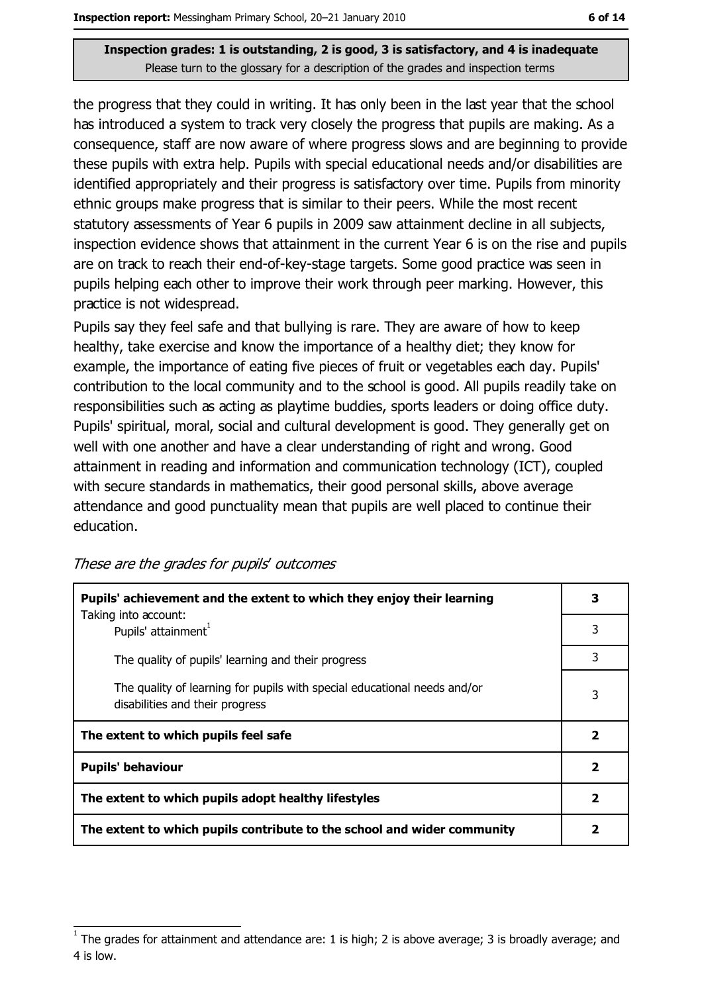the progress that they could in writing. It has only been in the last year that the school has introduced a system to track very closely the progress that pupils are making. As a consequence, staff are now aware of where progress slows and are beginning to provide these pupils with extra help. Pupils with special educational needs and/or disabilities are identified appropriately and their progress is satisfactory over time. Pupils from minority ethnic groups make progress that is similar to their peers. While the most recent statutory assessments of Year 6 pupils in 2009 saw attainment decline in all subjects, inspection evidence shows that attainment in the current Year 6 is on the rise and pupils are on track to reach their end-of-key-stage targets. Some good practice was seen in pupils helping each other to improve their work through peer marking. However, this practice is not widespread.

Pupils say they feel safe and that bullying is rare. They are aware of how to keep healthy, take exercise and know the importance of a healthy diet; they know for example, the importance of eating five pieces of fruit or vegetables each day. Pupils' contribution to the local community and to the school is good. All pupils readily take on responsibilities such as acting as playtime buddies, sports leaders or doing office duty. Pupils' spiritual, moral, social and cultural development is good. They generally get on well with one another and have a clear understanding of right and wrong. Good attainment in reading and information and communication technology (ICT), coupled with secure standards in mathematics, their good personal skills, above average attendance and good punctuality mean that pupils are well placed to continue their education.

| Pupils' achievement and the extent to which they enjoy their learning                                       |   |
|-------------------------------------------------------------------------------------------------------------|---|
| Taking into account:<br>Pupils' attainment <sup>1</sup>                                                     | 3 |
| The quality of pupils' learning and their progress                                                          | 3 |
| The quality of learning for pupils with special educational needs and/or<br>disabilities and their progress |   |
| The extent to which pupils feel safe                                                                        | 2 |
| <b>Pupils' behaviour</b>                                                                                    |   |
| The extent to which pupils adopt healthy lifestyles                                                         |   |
| The extent to which pupils contribute to the school and wider community                                     |   |

These are the grades for pupils' outcomes

The grades for attainment and attendance are: 1 is high; 2 is above average; 3 is broadly average; and 4 is low.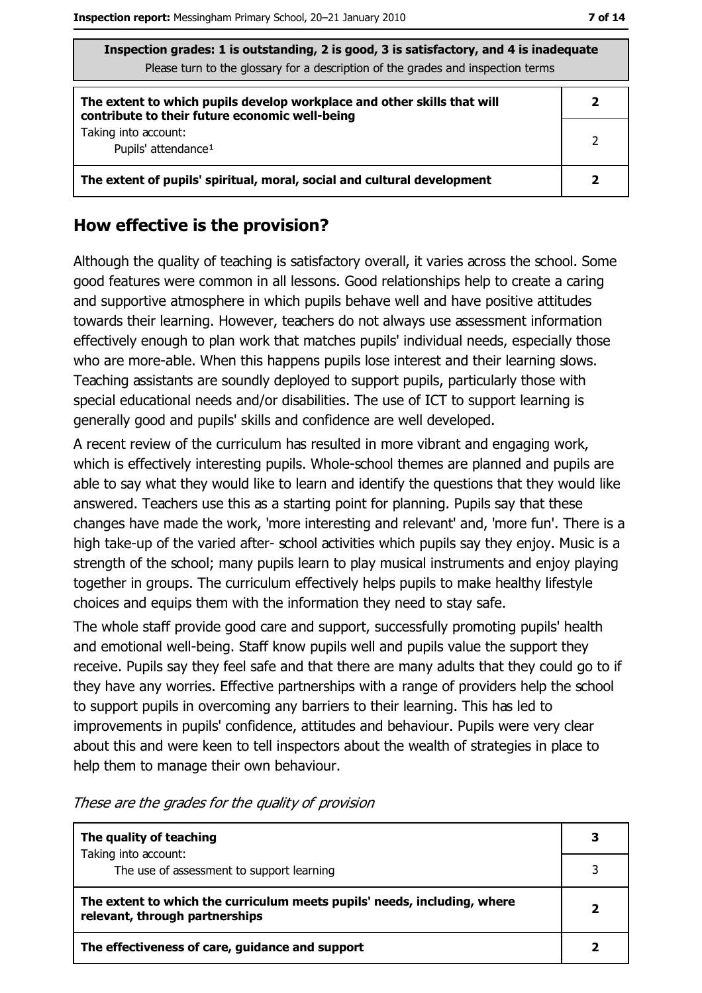| Inspection grades: 1 is outstanding, 2 is good, 3 is satisfactory, and 4 is inadequate<br>Please turn to the glossary for a description of the grades and inspection terms |   |  |
|----------------------------------------------------------------------------------------------------------------------------------------------------------------------------|---|--|
| The extent to which pupils develop workplace and other skills that will<br>contribute to their future economic well-being                                                  | 2 |  |
| Taking into account:<br>2<br>Pupils' attendance <sup>1</sup>                                                                                                               |   |  |
| The extent of pupils' spiritual, moral, social and cultural development<br>2                                                                                               |   |  |

#### How effective is the provision?

Although the quality of teaching is satisfactory overall, it varies across the school. Some good features were common in all lessons. Good relationships help to create a caring and supportive atmosphere in which pupils behave well and have positive attitudes towards their learning. However, teachers do not always use assessment information effectively enough to plan work that matches pupils' individual needs, especially those who are more-able. When this happens pupils lose interest and their learning slows. Teaching assistants are soundly deployed to support pupils, particularly those with special educational needs and/or disabilities. The use of ICT to support learning is generally good and pupils' skills and confidence are well developed.

A recent review of the curriculum has resulted in more vibrant and engaging work, which is effectively interesting pupils. Whole-school themes are planned and pupils are able to say what they would like to learn and identify the questions that they would like answered. Teachers use this as a starting point for planning. Pupils say that these changes have made the work, 'more interesting and relevant' and, 'more fun'. There is a high take-up of the varied after- school activities which pupils say they enjoy. Music is a strength of the school; many pupils learn to play musical instruments and enjoy playing together in groups. The curriculum effectively helps pupils to make healthy lifestyle choices and equips them with the information they need to stay safe.

The whole staff provide good care and support, successfully promoting pupils' health and emotional well-being. Staff know pupils well and pupils value the support they receive. Pupils say they feel safe and that there are many adults that they could go to if they have any worries. Effective partnerships with a range of providers help the school to support pupils in overcoming any barriers to their learning. This has led to improvements in pupils' confidence, attitudes and behaviour. Pupils were very clear about this and were keen to tell inspectors about the wealth of strategies in place to help them to manage their own behaviour.

| The quality of teaching                                                                                    | 3 |
|------------------------------------------------------------------------------------------------------------|---|
| Taking into account:<br>The use of assessment to support learning                                          |   |
| The extent to which the curriculum meets pupils' needs, including, where<br>relevant, through partnerships |   |
| The effectiveness of care, guidance and support                                                            |   |

These are the grades for the quality of provision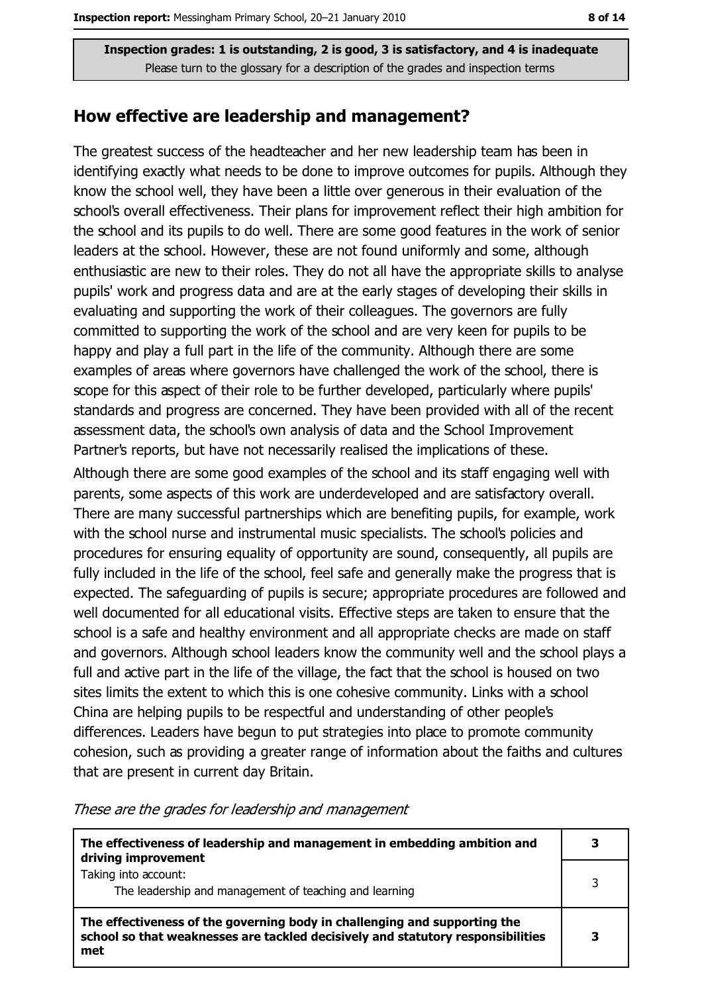#### How effective are leadership and management?

The greatest success of the headteacher and her new leadership team has been in identifying exactly what needs to be done to improve outcomes for pupils. Although they know the school well, they have been a little over generous in their evaluation of the school's overall effectiveness. Their plans for improvement reflect their high ambition for the school and its pupils to do well. There are some good features in the work of senior leaders at the school. However, these are not found uniformly and some, although enthusiastic are new to their roles. They do not all have the appropriate skills to analyse pupils' work and progress data and are at the early stages of developing their skills in evaluating and supporting the work of their colleagues. The governors are fully committed to supporting the work of the school and are very keen for pupils to be happy and play a full part in the life of the community. Although there are some examples of areas where governors have challenged the work of the school, there is scope for this aspect of their role to be further developed, particularly where pupils' standards and progress are concerned. They have been provided with all of the recent assessment data, the school's own analysis of data and the School Improvement Partner's reports, but have not necessarily realised the implications of these.

Although there are some good examples of the school and its staff engaging well with parents, some aspects of this work are underdeveloped and are satisfactory overall. There are many successful partnerships which are benefiting pupils, for example, work with the school nurse and instrumental music specialists. The school's policies and procedures for ensuring equality of opportunity are sound, consequently, all pupils are fully included in the life of the school, feel safe and generally make the progress that is expected. The safeguarding of pupils is secure; appropriate procedures are followed and well documented for all educational visits. Effective steps are taken to ensure that the school is a safe and healthy environment and all appropriate checks are made on staff and governors. Although school leaders know the community well and the school plays a full and active part in the life of the village, the fact that the school is housed on two sites limits the extent to which this is one cohesive community. Links with a school China are helping pupils to be respectful and understanding of other people's differences. Leaders have begun to put strategies into place to promote community cohesion, such as providing a greater range of information about the faiths and cultures that are present in current day Britain.

| The effectiveness of leadership and management in embedding ambition and<br>driving improvement                                                                     |  |
|---------------------------------------------------------------------------------------------------------------------------------------------------------------------|--|
| Taking into account:<br>The leadership and management of teaching and learning                                                                                      |  |
| The effectiveness of the governing body in challenging and supporting the<br>school so that weaknesses are tackled decisively and statutory responsibilities<br>met |  |

#### These are the grades for leadership and management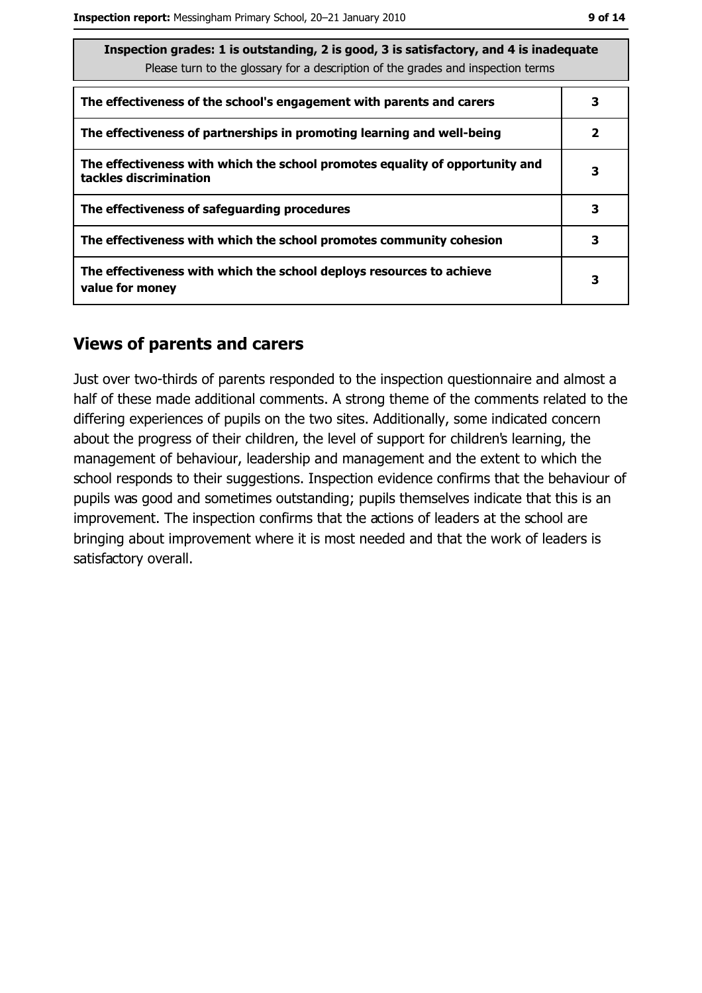| Inspection grades: 1 is outstanding, 2 is good, 3 is satisfactory, and 4 is inadequate<br>Please turn to the glossary for a description of the grades and inspection terms |   |  |
|----------------------------------------------------------------------------------------------------------------------------------------------------------------------------|---|--|
| The effectiveness of the school's engagement with parents and carers                                                                                                       | 3 |  |
| The effectiveness of partnerships in promoting learning and well-being                                                                                                     | 2 |  |
| The effectiveness with which the school promotes equality of opportunity and<br>tackles discrimination                                                                     | 3 |  |
| The effectiveness of safeguarding procedures                                                                                                                               | 3 |  |
| The effectiveness with which the school promotes community cohesion                                                                                                        | 3 |  |
| The effectiveness with which the school deploys resources to achieve<br>3<br>value for money                                                                               |   |  |

#### **Views of parents and carers**

Just over two-thirds of parents responded to the inspection questionnaire and almost a half of these made additional comments. A strong theme of the comments related to the differing experiences of pupils on the two sites. Additionally, some indicated concern about the progress of their children, the level of support for children's learning, the management of behaviour, leadership and management and the extent to which the school responds to their suggestions. Inspection evidence confirms that the behaviour of pupils was good and sometimes outstanding; pupils themselves indicate that this is an improvement. The inspection confirms that the actions of leaders at the school are bringing about improvement where it is most needed and that the work of leaders is satisfactory overall.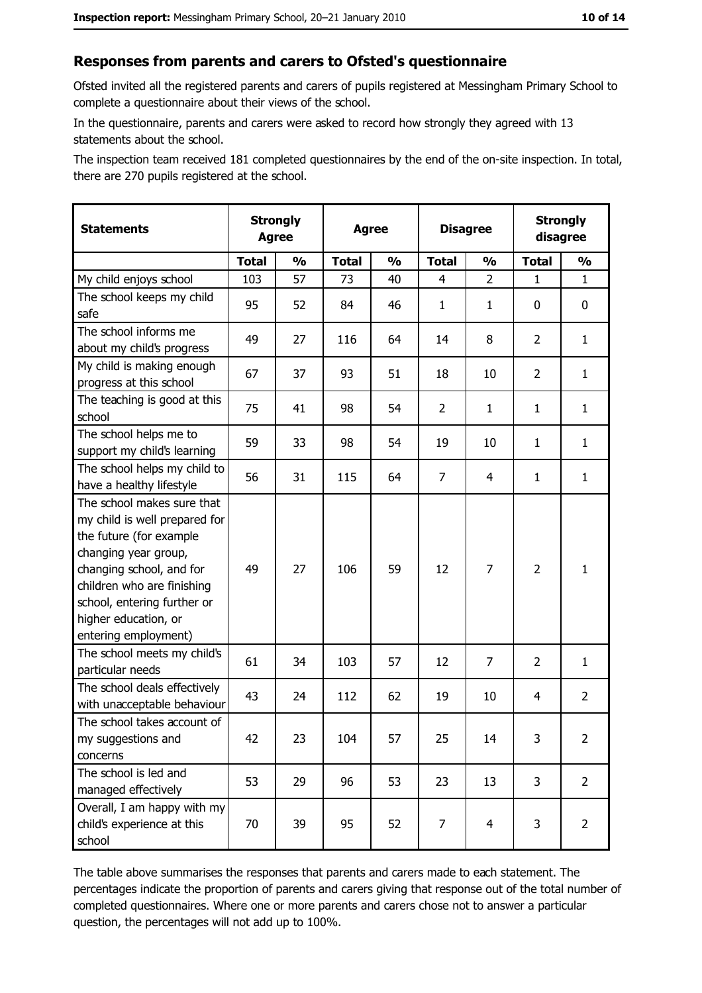## Responses from parents and carers to Ofsted's questionnaire

Ofsted invited all the registered parents and carers of pupils registered at Messingham Primary School to complete a questionnaire about their views of the school.

In the questionnaire, parents and carers were asked to record how strongly they agreed with 13 statements about the school.

The inspection team received 181 completed questionnaires by the end of the on-site inspection. In total, there are 270 pupils registered at the school.

| <b>Statements</b>                                                                                                                                                                                                                                       | <b>Strongly</b><br><b>Agree</b> |               | <b>Agree</b> |               | <b>Disagree</b> |                | <b>Strongly</b><br>disagree |                |
|---------------------------------------------------------------------------------------------------------------------------------------------------------------------------------------------------------------------------------------------------------|---------------------------------|---------------|--------------|---------------|-----------------|----------------|-----------------------------|----------------|
|                                                                                                                                                                                                                                                         | <b>Total</b>                    | $\frac{1}{2}$ | <b>Total</b> | $\frac{0}{0}$ | <b>Total</b>    | $\frac{0}{0}$  | <b>Total</b>                | $\frac{1}{2}$  |
| My child enjoys school                                                                                                                                                                                                                                  | 103                             | 57            | 73           | 40            | $\overline{4}$  | $\overline{2}$ | 1                           | $\mathbf{1}$   |
| The school keeps my child<br>safe                                                                                                                                                                                                                       | 95                              | 52            | 84           | 46            | $\mathbf{1}$    | $\mathbf{1}$   | 0                           | 0              |
| The school informs me<br>about my child's progress                                                                                                                                                                                                      | 49                              | 27            | 116          | 64            | 14              | 8              | $\overline{2}$              | $\mathbf{1}$   |
| My child is making enough<br>progress at this school                                                                                                                                                                                                    | 67                              | 37            | 93           | 51            | 18              | 10             | 2                           | $\mathbf{1}$   |
| The teaching is good at this<br>school                                                                                                                                                                                                                  | 75                              | 41            | 98           | 54            | $\overline{2}$  | $\mathbf{1}$   | 1                           | $\mathbf{1}$   |
| The school helps me to<br>support my child's learning                                                                                                                                                                                                   | 59                              | 33            | 98           | 54            | 19              | 10             | 1                           | $\mathbf{1}$   |
| The school helps my child to<br>have a healthy lifestyle                                                                                                                                                                                                | 56                              | 31            | 115          | 64            | $\overline{7}$  | 4              | 1                           | $\mathbf{1}$   |
| The school makes sure that<br>my child is well prepared for<br>the future (for example<br>changing year group,<br>changing school, and for<br>children who are finishing<br>school, entering further or<br>higher education, or<br>entering employment) | 49                              | 27            | 106          | 59            | 12              | 7              | $\overline{2}$              | $\mathbf{1}$   |
| The school meets my child's<br>particular needs                                                                                                                                                                                                         | 61                              | 34            | 103          | 57            | 12              | $\overline{7}$ | $\overline{2}$              | $\mathbf{1}$   |
| The school deals effectively<br>with unacceptable behaviour                                                                                                                                                                                             | 43                              | 24            | 112          | 62            | 19              | 10             | 4                           | $\overline{2}$ |
| The school takes account of<br>my suggestions and<br>concerns                                                                                                                                                                                           | 42                              | 23            | 104          | 57            | 25              | 14             | 3                           | $\overline{2}$ |
| The school is led and<br>managed effectively                                                                                                                                                                                                            | 53                              | 29            | 96           | 53            | 23              | 13             | 3                           | $\overline{2}$ |
| Overall, I am happy with my<br>child's experience at this<br>school                                                                                                                                                                                     | 70                              | 39            | 95           | 52            | $\overline{7}$  | $\overline{4}$ | 3                           | $\overline{2}$ |

The table above summarises the responses that parents and carers made to each statement. The percentages indicate the proportion of parents and carers giving that response out of the total number of completed questionnaires. Where one or more parents and carers chose not to answer a particular question, the percentages will not add up to 100%.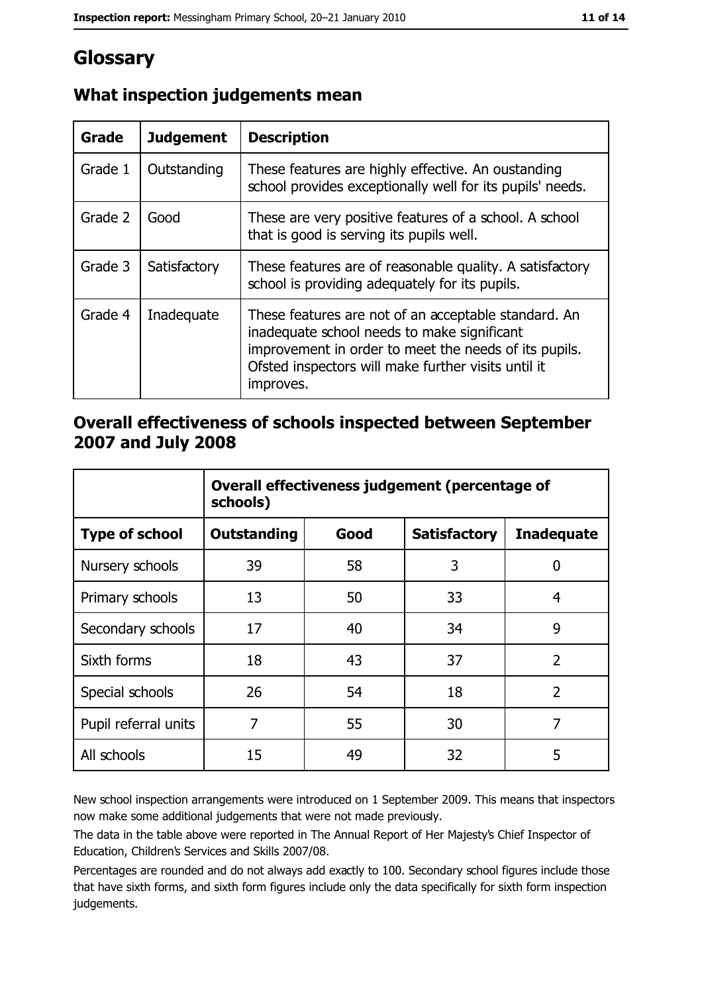# Glossary

| Grade   | <b>Judgement</b> | <b>Description</b>                                                                                                                                                                                                               |
|---------|------------------|----------------------------------------------------------------------------------------------------------------------------------------------------------------------------------------------------------------------------------|
| Grade 1 | Outstanding      | These features are highly effective. An oustanding<br>school provides exceptionally well for its pupils' needs.                                                                                                                  |
| Grade 2 | Good             | These are very positive features of a school. A school<br>that is good is serving its pupils well.                                                                                                                               |
| Grade 3 | Satisfactory     | These features are of reasonable quality. A satisfactory<br>school is providing adequately for its pupils.                                                                                                                       |
| Grade 4 | Inadequate       | These features are not of an acceptable standard. An<br>inadequate school needs to make significant<br>improvement in order to meet the needs of its pupils.<br>Ofsted inspectors will make further visits until it<br>improves. |

## What inspection judgements mean

## Overall effectiveness of schools inspected between September 2007 and July 2008

|                       | Overall effectiveness judgement (percentage of<br>schools) |      |                     |                   |
|-----------------------|------------------------------------------------------------|------|---------------------|-------------------|
| <b>Type of school</b> | <b>Outstanding</b>                                         | Good | <b>Satisfactory</b> | <b>Inadequate</b> |
| Nursery schools       | 39                                                         | 58   | 3                   | 0                 |
| Primary schools       | 13                                                         | 50   | 33                  | 4                 |
| Secondary schools     | 17                                                         | 40   | 34                  | 9                 |
| Sixth forms           | 18                                                         | 43   | 37                  | $\overline{2}$    |
| Special schools       | 26                                                         | 54   | 18                  | $\overline{2}$    |
| Pupil referral units  | 7                                                          | 55   | 30                  | 7                 |
| All schools           | 15                                                         | 49   | 32                  | 5                 |

New school inspection arrangements were introduced on 1 September 2009. This means that inspectors now make some additional judgements that were not made previously.

The data in the table above were reported in The Annual Report of Her Majesty's Chief Inspector of Education, Children's Services and Skills 2007/08.

Percentages are rounded and do not always add exactly to 100. Secondary school figures include those that have sixth forms, and sixth form figures include only the data specifically for sixth form inspection judgements.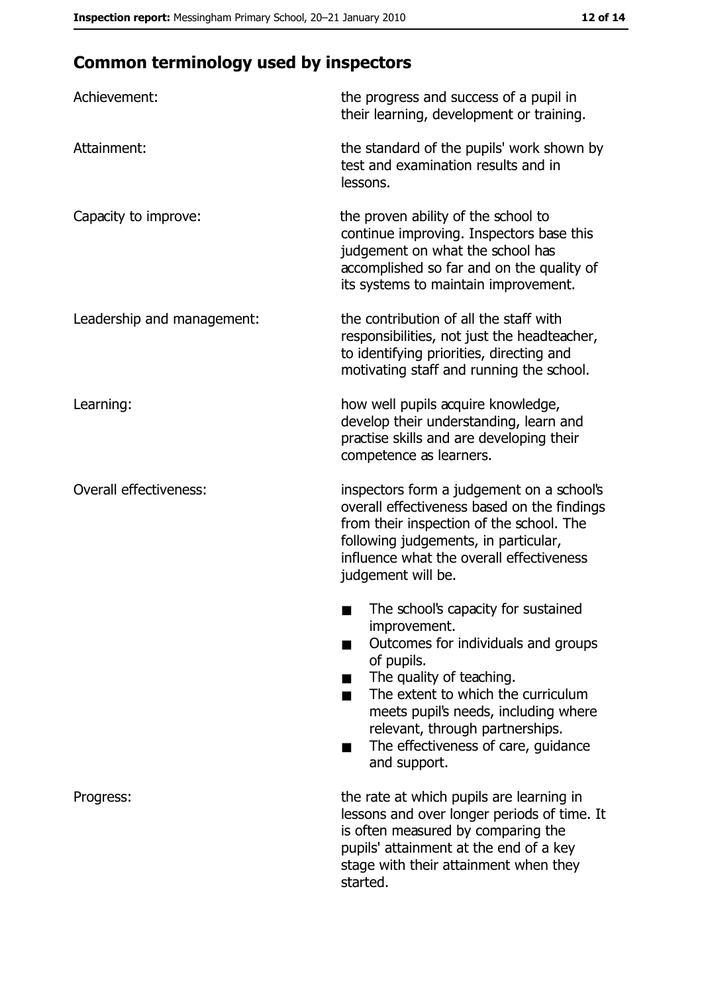# **Common terminology used by inspectors**

| Achievement:                  | the progress and success of a pupil in<br>their learning, development or training.                                                                                                                                                                                                                           |
|-------------------------------|--------------------------------------------------------------------------------------------------------------------------------------------------------------------------------------------------------------------------------------------------------------------------------------------------------------|
| Attainment:                   | the standard of the pupils' work shown by<br>test and examination results and in<br>lessons.                                                                                                                                                                                                                 |
| Capacity to improve:          | the proven ability of the school to<br>continue improving. Inspectors base this<br>judgement on what the school has<br>accomplished so far and on the quality of<br>its systems to maintain improvement.                                                                                                     |
| Leadership and management:    | the contribution of all the staff with<br>responsibilities, not just the headteacher,<br>to identifying priorities, directing and<br>motivating staff and running the school.                                                                                                                                |
| Learning:                     | how well pupils acquire knowledge,<br>develop their understanding, learn and<br>practise skills and are developing their<br>competence as learners.                                                                                                                                                          |
| <b>Overall effectiveness:</b> | inspectors form a judgement on a school's<br>overall effectiveness based on the findings<br>from their inspection of the school. The<br>following judgements, in particular,<br>influence what the overall effectiveness<br>judgement will be.                                                               |
|                               | The school's capacity for sustained<br>improvement.<br>Outcomes for individuals and groups<br>of pupils.<br>The quality of teaching.<br>The extent to which the curriculum<br>meets pupil's needs, including where<br>relevant, through partnerships.<br>The effectiveness of care, guidance<br>and support. |
| Progress:                     | the rate at which pupils are learning in<br>lessons and over longer periods of time. It<br>is often measured by comparing the<br>pupils' attainment at the end of a key<br>stage with their attainment when they<br>started.                                                                                 |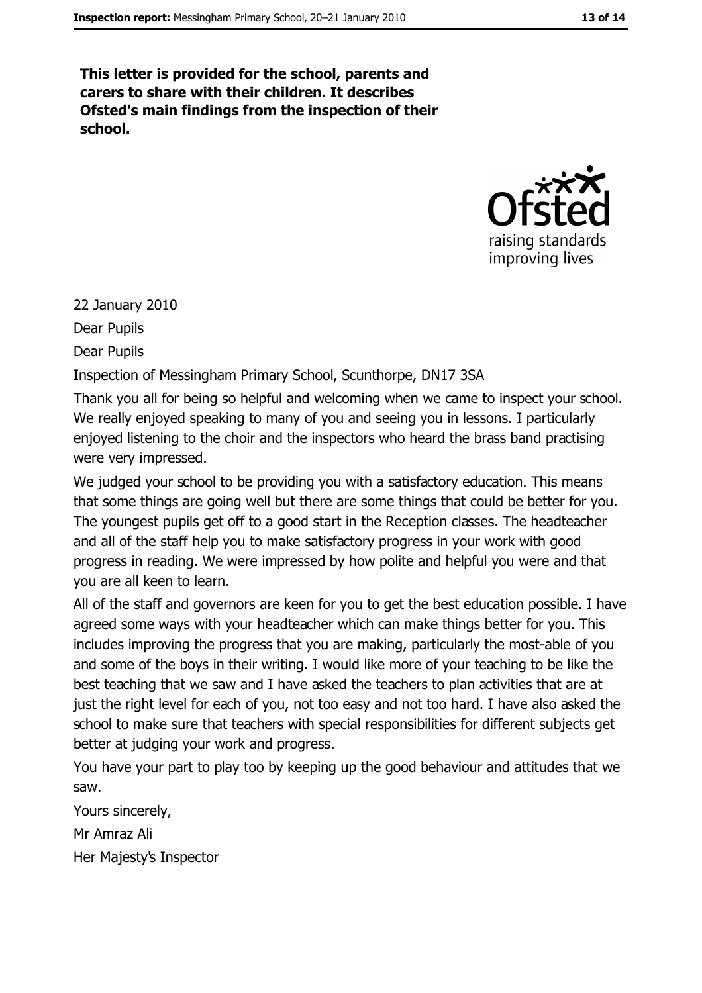This letter is provided for the school, parents and carers to share with their children. It describes Ofsted's main findings from the inspection of their school.



22 January 2010 Dear Pupils

**Dear Pupils** 

Inspection of Messingham Primary School, Scunthorpe, DN17 3SA

Thank you all for being so helpful and welcoming when we came to inspect your school. We really enjoyed speaking to many of you and seeing you in lessons. I particularly enjoyed listening to the choir and the inspectors who heard the brass band practising were very impressed.

We judged your school to be providing you with a satisfactory education. This means that some things are going well but there are some things that could be better for you. The youngest pupils get off to a good start in the Reception classes. The headteacher and all of the staff help you to make satisfactory progress in your work with good progress in reading. We were impressed by how polite and helpful you were and that you are all keen to learn.

All of the staff and governors are keen for you to get the best education possible. I have agreed some ways with your headteacher which can make things better for you. This includes improving the progress that you are making, particularly the most-able of you and some of the boys in their writing. I would like more of your teaching to be like the best teaching that we saw and I have asked the teachers to plan activities that are at just the right level for each of you, not too easy and not too hard. I have also asked the school to make sure that teachers with special responsibilities for different subjects get better at judging your work and progress.

You have your part to play too by keeping up the good behaviour and attitudes that we saw.

Yours sincerely, Mr Amraz Ali Her Majesty's Inspector